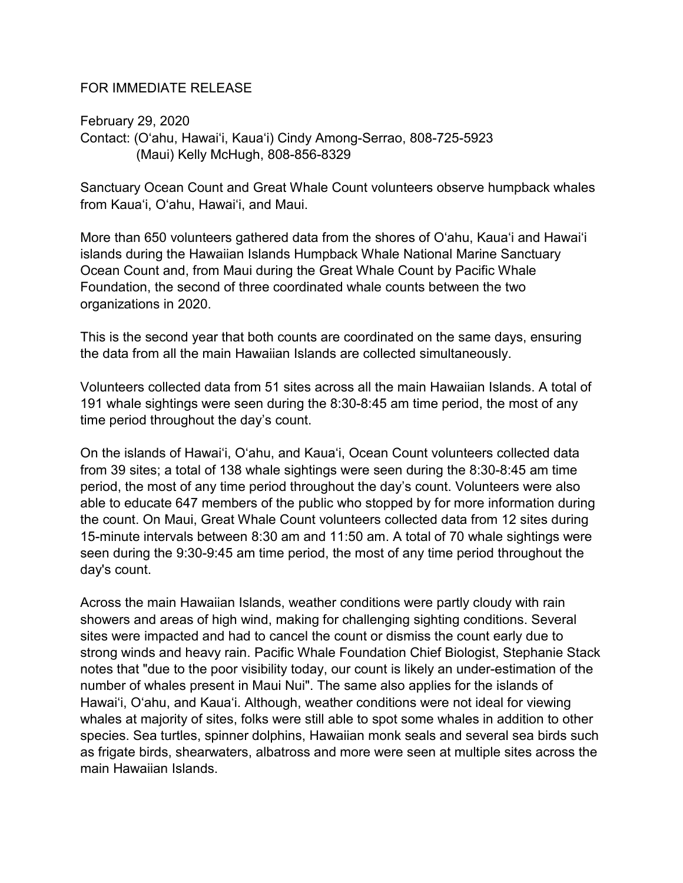## FOR IMMEDIATE RELEASE

February 29, 2020 Contact: (O'ahu, Hawai'i, Kaua'i) Cindy Among-Serrao, 808-725-5923 (Maui) Kelly McHugh, 808-856-8329

Sanctuary Ocean Count and Great Whale Count volunteers observe humpback whales from Kaua'i, O'ahu, Hawai'i, and Maui.

More than 650 volunteers gathered data from the shores of O'ahu, Kaua'i and Hawai'i islands during the Hawaiian Islands Humpback Whale National Marine Sanctuary Ocean Count and, from Maui during the Great Whale Count by Pacific Whale Foundation, the second of three coordinated whale counts between the two organizations in 2020.

This is the second year that both counts are coordinated on the same days, ensuring the data from all the main Hawaiian Islands are collected simultaneously.

Volunteers collected data from 51 sites across all the main Hawaiian Islands. A total of 191 whale sightings were seen during the 8:30-8:45 am time period, the most of any time period throughout the day's count.

On the islands of Hawai'i, O'ahu, and Kaua'i, Ocean Count volunteers collected data from 39 sites; a total of 138 whale sightings were seen during the 8:30-8:45 am time period, the most of any time period throughout the day's count. Volunteers were also able to educate 647 members of the public who stopped by for more information during the count. On Maui, Great Whale Count volunteers collected data from 12 sites during 15-minute intervals between 8:30 am and 11:50 am. A total of 70 whale sightings were seen during the 9:30-9:45 am time period, the most of any time period throughout the day's count.

Across the main Hawaiian Islands, weather conditions were partly cloudy with rain showers and areas of high wind, making for challenging sighting conditions. Several sites were impacted and had to cancel the count or dismiss the count early due to strong winds and heavy rain. Pacific Whale Foundation Chief Biologist, Stephanie Stack notes that "due to the poor visibility today, our count is likely an under-estimation of the number of whales present in Maui Nui". The same also applies for the islands of Hawai'i, O'ahu, and Kaua'i. Although, weather conditions were not ideal for viewing whales at majority of sites, folks were still able to spot some whales in addition to other species. Sea turtles, spinner dolphins, Hawaiian monk seals and several sea birds such as frigate birds, shearwaters, albatross and more were seen at multiple sites across the main Hawaiian Islands.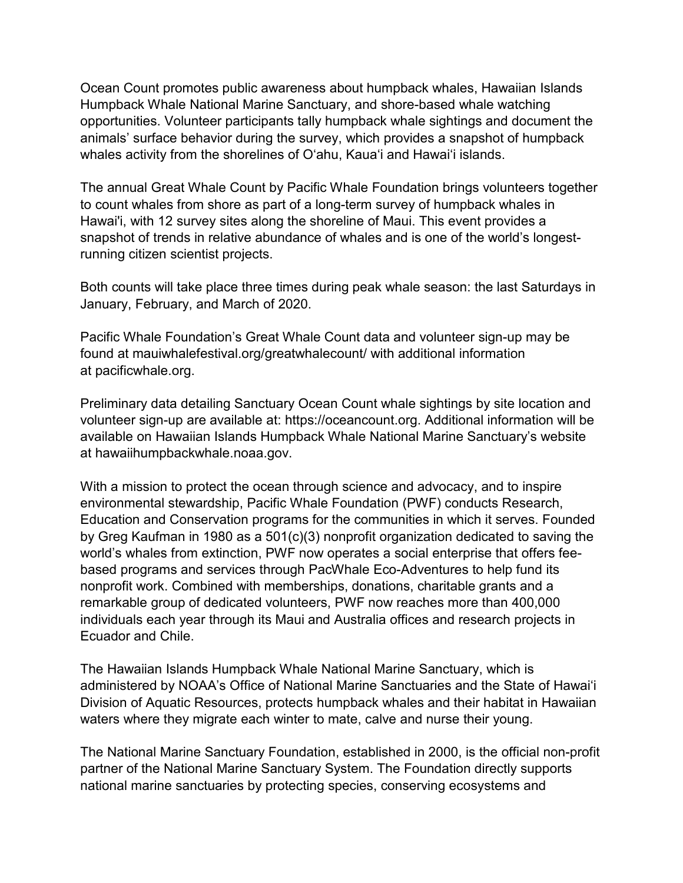Ocean Count promotes public awareness about humpback whales, Hawaiian Islands Humpback Whale National Marine Sanctuary, and shore-based whale watching opportunities. Volunteer participants tally humpback whale sightings and document the animals' surface behavior during the survey, which provides a snapshot of humpback whales activity from the shorelines of O'ahu, Kaua'i and Hawai'i islands.

The annual Great Whale Count by Pacific Whale Foundation brings volunteers together to count whales from shore as part of a long-term survey of humpback whales in Hawai'i, with 12 survey sites along the shoreline of Maui. This event provides a snapshot of trends in relative abundance of whales and is one of the world's longestrunning citizen scientist projects.

Both counts will take place three times during peak whale season: the last Saturdays in January, February, and March of 2020.

Pacific Whale Foundation's Great Whale Count data and volunteer sign-up may be found at mauiwhalefestival.org/greatwhalecount/ with additional information at pacificwhale.org.

Preliminary data detailing Sanctuary Ocean Count whale sightings by site location and volunteer sign-up are available at: https://oceancount.org. Additional information will be available on Hawaiian Islands Humpback Whale National Marine Sanctuary's website at hawaiihumpbackwhale.noaa.gov.

With a mission to protect the ocean through science and advocacy, and to inspire environmental stewardship, Pacific Whale Foundation (PWF) conducts Research, Education and Conservation programs for the communities in which it serves. Founded by Greg Kaufman in 1980 as a 501(c)(3) nonprofit organization dedicated to saving the world's whales from extinction, PWF now operates a social enterprise that offers feebased programs and services through PacWhale Eco-Adventures to help fund its nonprofit work. Combined with memberships, donations, charitable grants and a remarkable group of dedicated volunteers, PWF now reaches more than 400,000 individuals each year through its Maui and Australia offices and research projects in Ecuador and Chile.

The Hawaiian Islands Humpback Whale National Marine Sanctuary, which is administered by NOAA's Office of National Marine Sanctuaries and the State of Hawai'i Division of Aquatic Resources, protects humpback whales and their habitat in Hawaiian waters where they migrate each winter to mate, calve and nurse their young.

The National Marine Sanctuary Foundation, established in 2000, is the official non-profit partner of the National Marine Sanctuary System. The Foundation directly supports national marine sanctuaries by protecting species, conserving ecosystems and